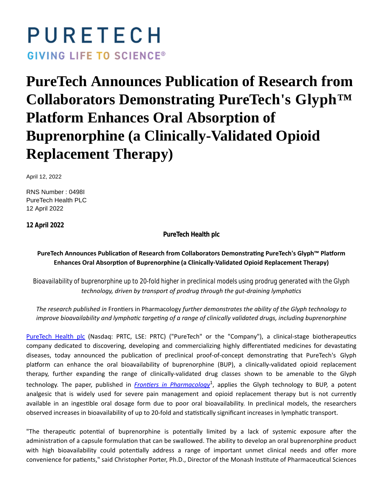# PURETECH **GIVING LIFE TO SCIENCE®**

## **PureTech Announces Publication of Research from Collaborators Demonstrating PureTech's Glyph™ Platform Enhances Oral Absorption of Buprenorphine (a Clinically-Validated Opioid Replacement Therapy)**

April 12, 2022

RNS Number : 0498I PureTech Health PLC 12 April 2022

**12 April 2022**

**PureTech Health plc**

PureTech Announces Publication of Research from Collaborators Demonstrating PureTech's Glyph™ Platform **Enhances Oral AbsorpƟon of Buprenorphine (a Clinically-Validated Opioid Replacement Therapy)**

*Bioavailability of buprenorphine up to 20-fold higher in preclinical models using prodrug generated with the Glyph technology, driven by transport of prodrug through the gut-draining lymphatics* 

*The research published in* FronƟers in Pharmacology *further demonstrates the ability of the Glyph technology to improve bioavailability and lymphatic targeting of a range of clinically validated drugs, including buprenorphine* 

[PureTech Health plc](https://puretechhealth.com/) (Nasdaq: PRTC, LSE: PRTC) ("PureTech" or the "Company"), a clinical-stage biotherapeutics company dedicated to discovering, developing and commercializing highly differentiated medicines for devastating diseases, today announced the publication of preclinical proof-of-concept demonstrating that PureTech's Glyph platform can enhance the oral bioavailability of buprenorphine (BUP), a clinically-validated opioid replacement therapy, further expanding the range of clinically-validated drug classes shown to be amenable to the Glyph technology. The paper, published in *Frontiers in Pharmacology*<sup>1</sup>, applies the Glyph technology to BUP, a potent analgesic that is widely used for severe pain management and opioid replacement therapy but is not currently available in an ingestible oral dosage form due to poor oral bioavailability. In preclinical models, the researchers observed increases in bioavailability of up to 20-fold and statistically significant increases in lymphatic transport.

"The therapeutic potential of buprenorphine is potentially limited by a lack of systemic exposure after the administration of a capsule formulation that can be swallowed. The ability to develop an oral buprenorphine product with high bioavailability could potentially address a range of important unmet clinical needs and offer more convenience for patients," said Christopher Porter, Ph.D., Director of the Monash Institute of Pharmaceutical Sciences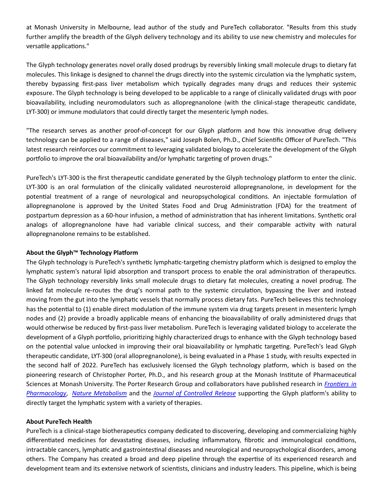at Monash University in Melbourne, lead author of the study and PureTech collaborator. "Results from this study further amplify the breadth of the Glyph delivery technology and its ability to use new chemistry and molecules for versatile applications."

The Glyph technology generates novel orally dosed prodrugs by reversibly linking small molecule drugs to dietary fat molecules. This linkage is designed to channel the drugs directly into the systemic circulation via the lymphatic system, thereby bypassing first-pass liver metabolism which typically degrades many drugs and reduces their systemic exposure. The Glyph technology is being developed to be applicable to a range of clinically validated drugs with poor bioavailability, including neuromodulators such as allopregnanolone (with the clinical-stage therapeutic candidate, LYT-300) or immune modulators that could directly target the mesenteric lymph nodes.

"The research serves as another proof-of-concept for our Glyph platform and how this innovative drug delivery technology can be applied to a range of diseases," said Joseph Bolen, Ph.D., Chief Scientific Officer of PureTech. "This latest research reinforces our commitment to leveraging validated biology to accelerate the development of the Glyph portfolio to improve the oral bioavailability and/or lymphatic targeting of proven drugs."

PureTech's LYT-300 is the first therapeutic candidate generated by the Glyph technology platform to enter the clinic. LYT-300 is an oral formulation of the clinically validated neurosteroid allopregnanolone, in development for the potential treatment of a range of neurological and neuropsychological conditions. An injectable formulation of allopregnanolone is approved by the United States Food and Drug Administration (FDA) for the treatment of postpartum depression as a 60-hour infusion, a method of administration that has inherent limitations. Synthetic oral analogs of allopregnanolone have had variable clinical success, and their comparable activity with natural allopregnanolone remains to be established.

#### **About the Glyph™ Technology Platform**

The Glyph technology is PureTech's synthetic lymphatic-targeting chemistry platform which is designed to employ the lymphatic system's natural lipid absorption and transport process to enable the oral administration of therapeutics. The Glyph technology reversibly links small molecule drugs to dietary fat molecules, creating a novel prodrug. The linked fat molecule re-routes the drug's normal path to the systemic circulation, bypassing the liver and instead moving from the gut into the lymphatic vessels that normally process dietary fats. PureTech believes this technology has the potential to (1) enable direct modulation of the immune system via drug targets present in mesenteric lymph nodes and (2) provide a broadly applicable means of enhancing the bioavailability of orally administered drugs that would otherwise be reduced by first-pass liver metabolism. PureTech is leveraging validated biology to accelerate the development of a Glyph portfolio, prioritizing highly characterized drugs to enhance with the Glyph technology based on the potential value unlocked in improving their oral bioavailability or lymphatic targeting. PureTech's lead Glyph therapeutic candidate, LYT-300 (oral allopregnanolone), is being evaluated in a Phase 1 study, with results expected in the second half of 2022. PureTech has exclusively licensed the Glyph technology platform, which is based on the pioneering research of Christopher Porter, Ph.D., and his research group at the Monash Institute of Pharmaceutical Sciences at Monash University. The Porter Research Group and collaborators have published research in *[FronƟers in](https://www.frontiersin.org/articles/10.3389/fphar.2022.879660/full) Pharmacology, [Nature Metabolism](https://www.nature.com/articles/s42255-021-00457-w)* and the *[Journal of Controlled Release](https://www.sciencedirect.com/science/article/pii/S0168365921000717?via%3Dihub)* supporting the Glyph platform's ability to directly target the lymphatic system with a variety of therapies.

#### **About PureTech Health**

PureTech is a clinical-stage biotherapeutics company dedicated to discovering, developing and commercializing highly differentiated medicines for devastating diseases, including inflammatory, fibrotic and immunological conditions, intractable cancers, lymphatic and gastrointestinal diseases and neurological and neuropsychological disorders, among others. The Company has created a broad and deep pipeline through the expertise of its experienced research and development team and its extensive network of scientists, clinicians and industry leaders. This pipeline, which is being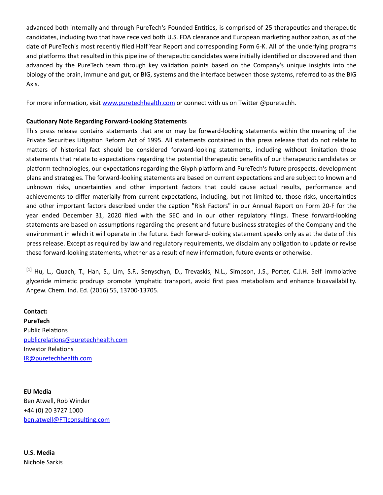advanced both internally and through PureTech's Founded Entities, is comprised of 25 therapeutics and therapeutic candidates, including two that have received both U.S. FDA clearance and European marketing authorization, as of the date of PureTech's most recently filed Half Year Report and corresponding Form 6-K. All of the underlying programs and platforms that resulted in this pipeline of therapeutic candidates were initially identified or discovered and then advanced by the PureTech team through key validation points based on the Company's unique insights into the biology of the brain, immune and gut, or BIG, systems and the interface between those systems, referred to as the BIG Axis.

For more information, visit [www.puretechhealth.com o](http://www.puretechhealth.com/)r connect with us on Twitter @puretechh.

#### **CauƟonary Note Regarding Forward-Looking Statements**

This press release contains statements that are or may be forward-looking statements within the meaning of the Private Securities Litigation Reform Act of 1995. All statements contained in this press release that do not relate to matters of historical fact should be considered forward-looking statements, including without limitation those statements that relate to expectations regarding the potential therapeutic benefits of our therapeutic candidates or platform technologies, our expectations regarding the Glyph platform and PureTech's future prospects, development plans and strategies. The forward-looking statements are based on current expectations and are subject to known and unknown risks, uncertainties and other important factors that could cause actual results, performance and achievements to differ materially from current expectations, including, but not limited to, those risks, uncertainties and other important factors described under the caption "Risk Factors" in our Annual Report on Form 20-F for the year ended December 31, 2020 filed with the SEC and in our other regulatory filings. These forward-looking statements are based on assumptions regarding the present and future business strategies of the Company and the environment in which it will operate in the future. Each forward-looking statement speaks only as at the date of this press release. Except as required by law and regulatory requirements, we disclaim any obligation to update or revise these forward-looking statements, whether as a result of new information, future events or otherwise.

[1] Hu, L., Quach, T., Han, S., Lim, S.F., Senyschyn, D., Trevaskis, N.L., Simpson, J.S., Porter, C.J.H. Self immolative glyceride mimetic prodrugs promote lymphatic transport, avoid first pass metabolism and enhance bioavailability. Angew. Chem. Ind. Ed. (2016) 55, 13700-13705.

**Contact: PureTech** Public Relations [publicrelaƟons@puretechhealth.com](mailto:publicrelations@puretechhealth.com) Investor Relations [IR@puretechhealth.com](mailto:IR@puretechhealth.com)

**EU Media** Ben Atwell, Rob Winder +44 (0) 20 3727 1000 ben.atwell@FTIconsulting.com

**U.S. Media** Nichole Sarkis